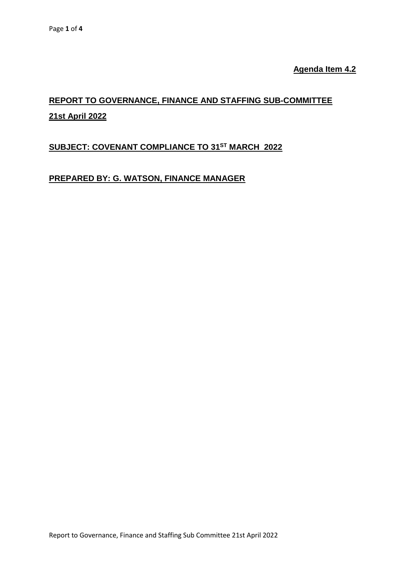**Agenda Item 4.2**

# **REPORT TO GOVERNANCE, FINANCE AND STAFFING SUB-COMMITTEE 21st April 2022**

## **SUBJECT: COVENANT COMPLIANCE TO 31 ST MARCH 2022**

## **PREPARED BY: G. WATSON, FINANCE MANAGER**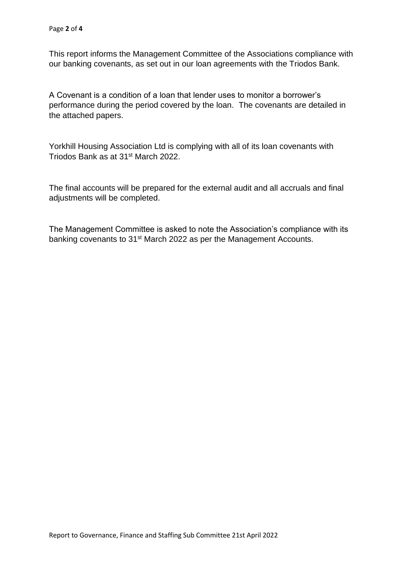This report informs the Management Committee of the Associations compliance with our banking covenants, as set out in our loan agreements with the Triodos Bank.

A Covenant is a condition of a loan that lender uses to monitor a borrower's performance during the period covered by the loan. The covenants are detailed in the attached papers.

Yorkhill Housing Association Ltd is complying with all of its loan covenants with Triodos Bank as at 31<sup>st</sup> March 2022.

The final accounts will be prepared for the external audit and all accruals and final adjustments will be completed.

The Management Committee is asked to note the Association's compliance with its banking covenants to 31<sup>st</sup> March 2022 as per the Management Accounts.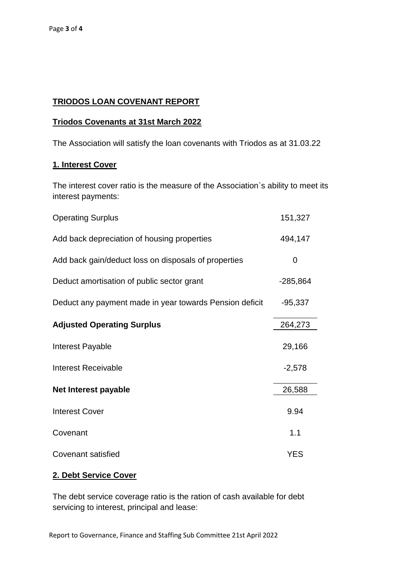#### **TRIODOS LOAN COVENANT REPORT**

#### **Triodos Covenants at 31st March 2022**

The Association will satisfy the loan covenants with Triodos as at 31.03.22

#### **1. Interest Cover**

The interest cover ratio is the measure of the Association`s ability to meet its interest payments:

| <b>Operating Surplus</b>                                | 151,327    |
|---------------------------------------------------------|------------|
| Add back depreciation of housing properties             | 494,147    |
| Add back gain/deduct loss on disposals of properties    | 0          |
| Deduct amortisation of public sector grant              | $-285,864$ |
| Deduct any payment made in year towards Pension deficit | $-95,337$  |
| <b>Adjusted Operating Surplus</b>                       | 264,273    |
| Interest Payable                                        | 29,166     |
| <b>Interest Receivable</b>                              | $-2,578$   |
| Net Interest payable                                    | 26,588     |
| <b>Interest Cover</b>                                   | 9.94       |
| Covenant                                                | 1.1        |
| <b>Covenant satisfied</b>                               | <b>YES</b> |

### **2. Debt Service Cover**

The debt service coverage ratio is the ration of cash available for debt servicing to interest, principal and lease: